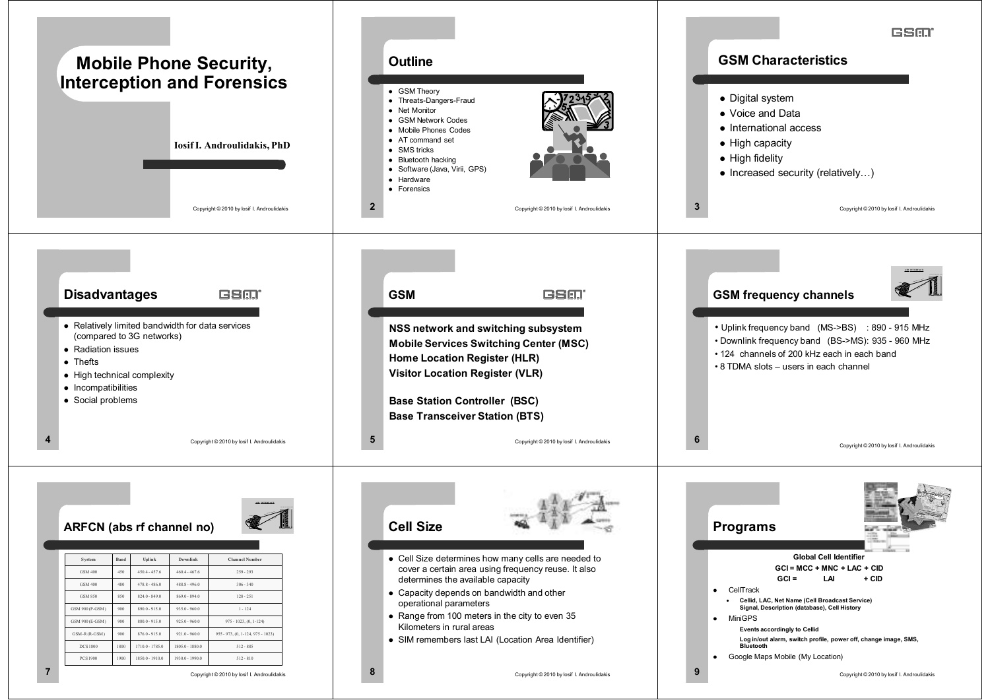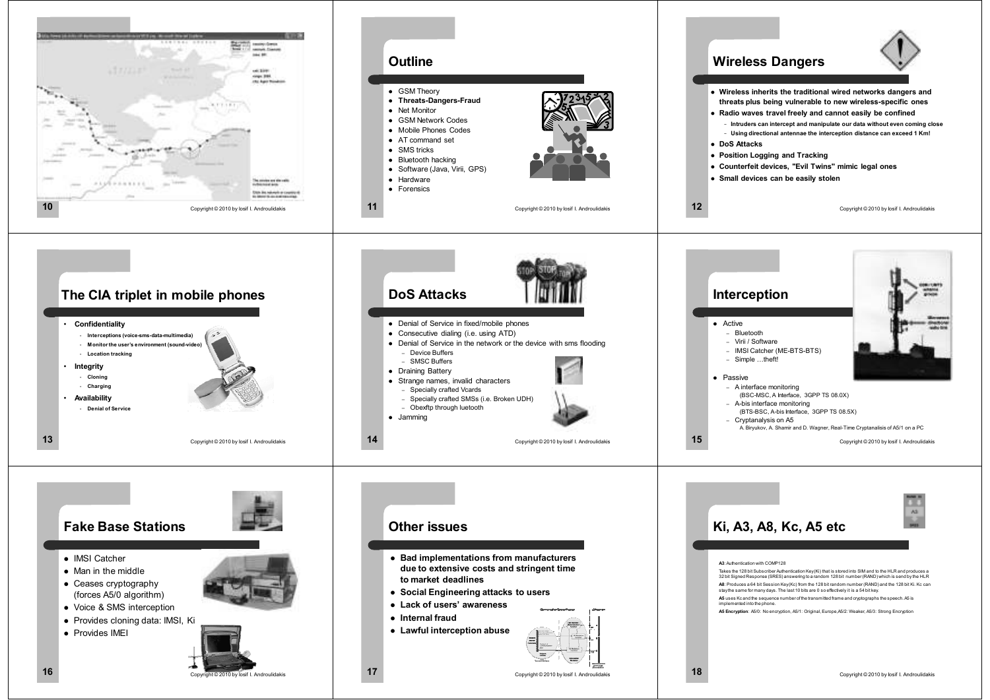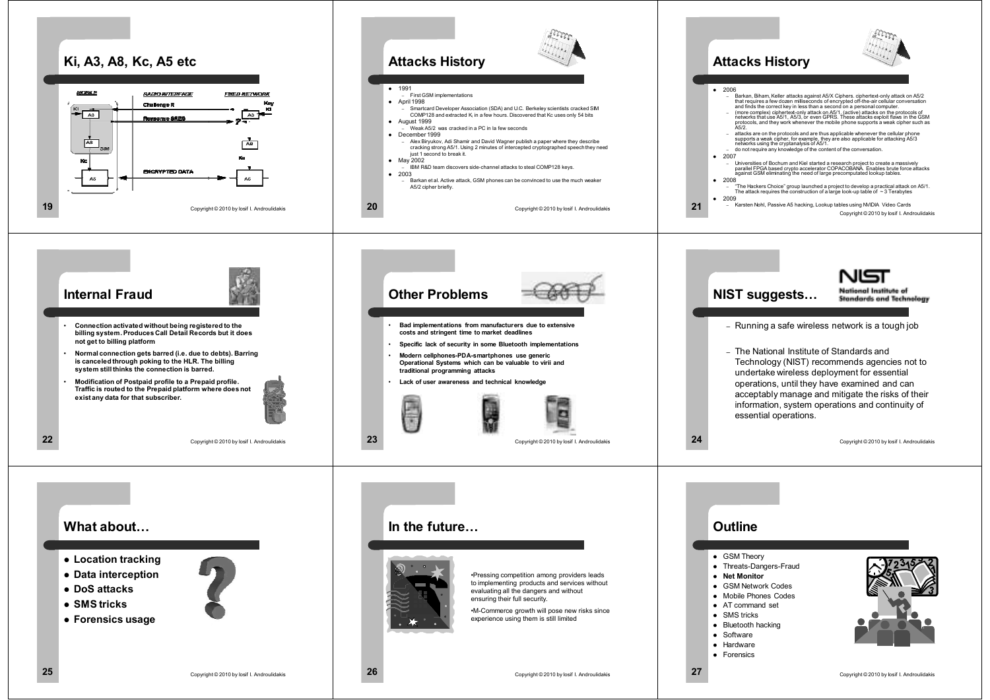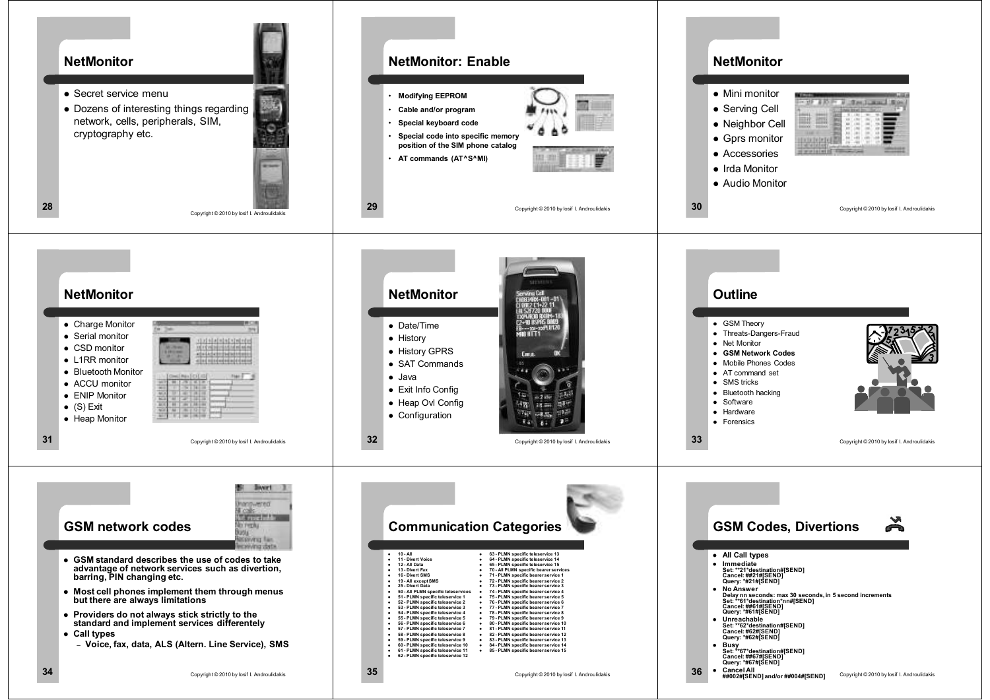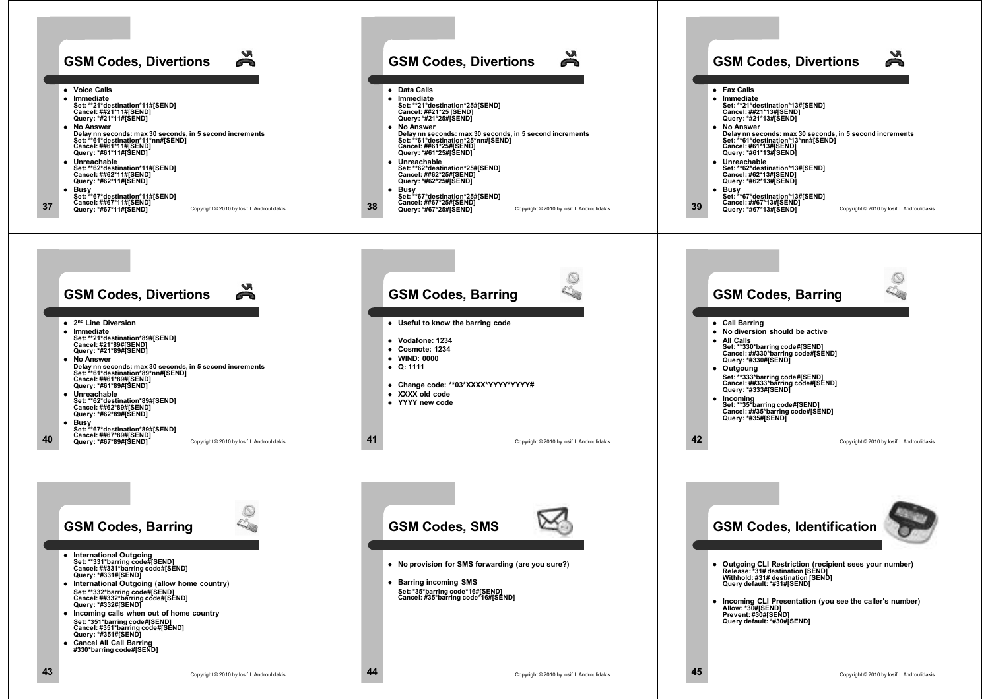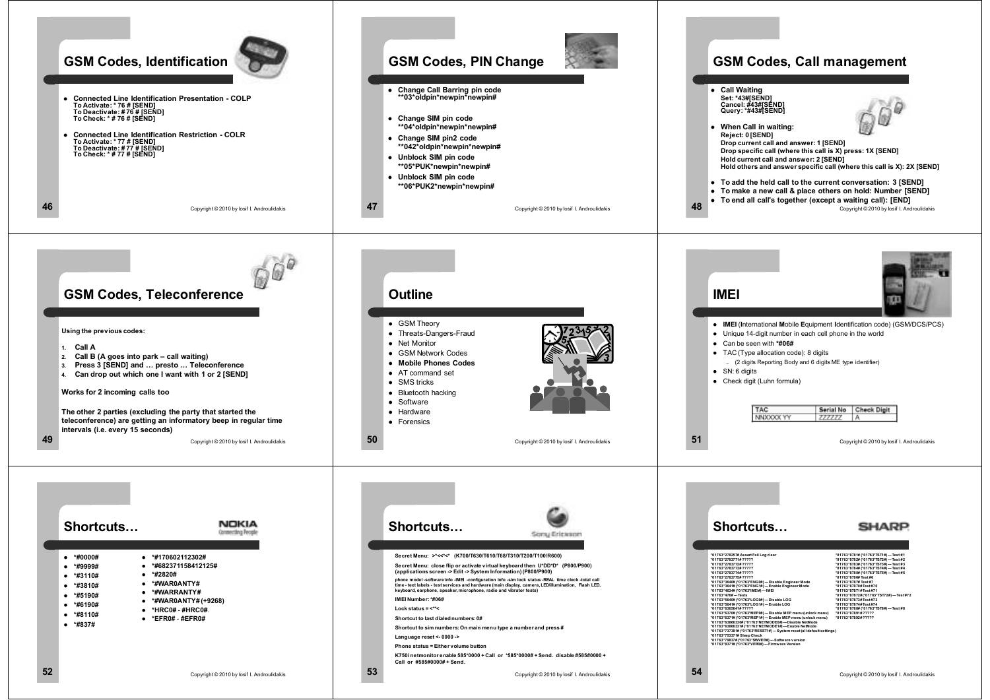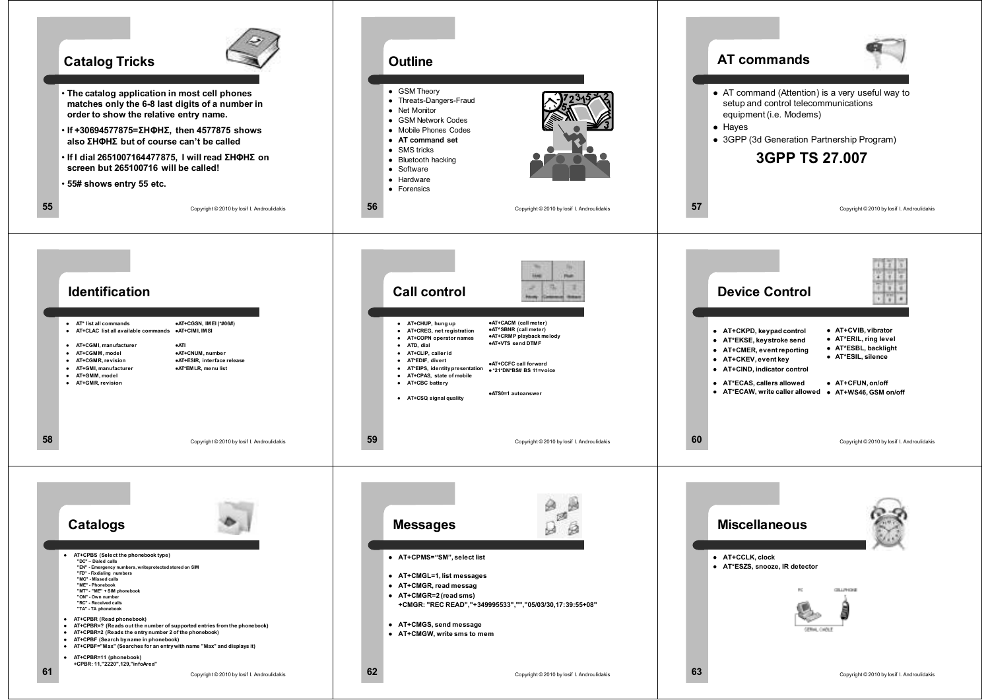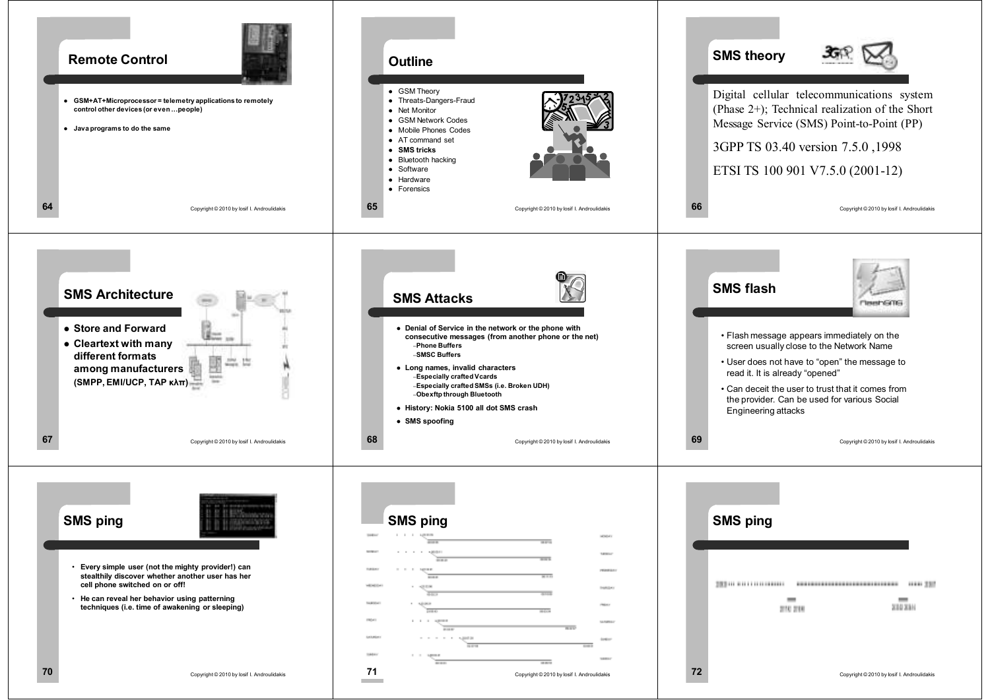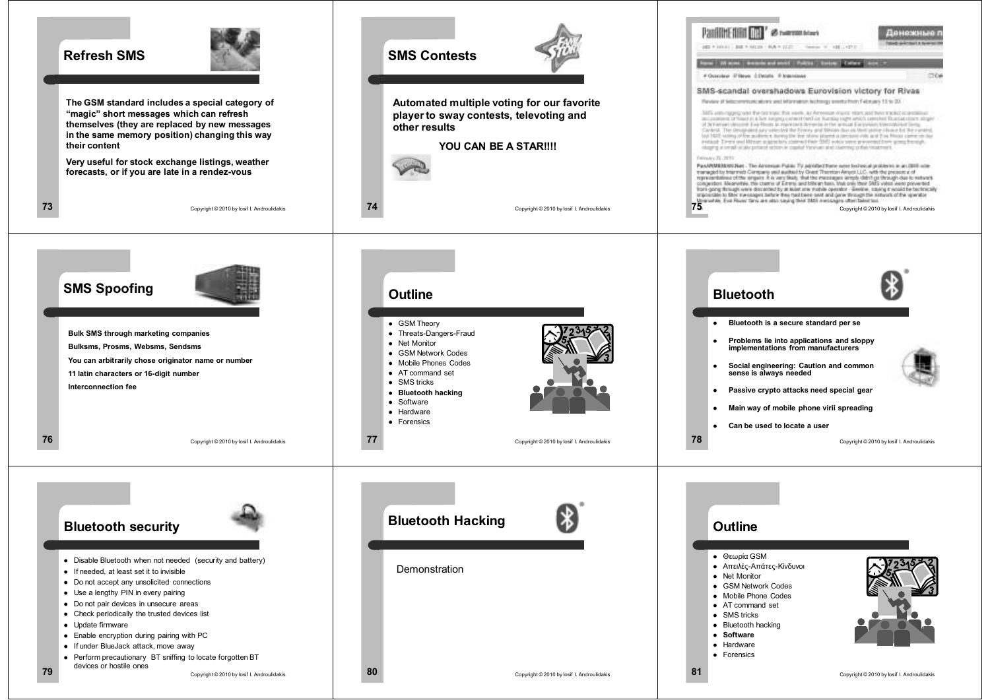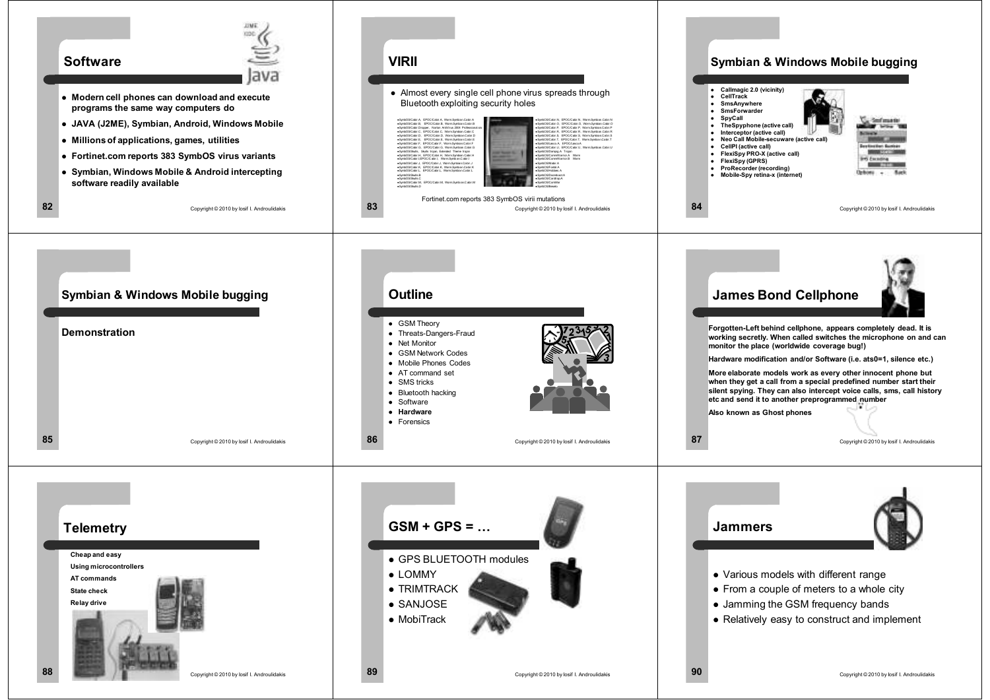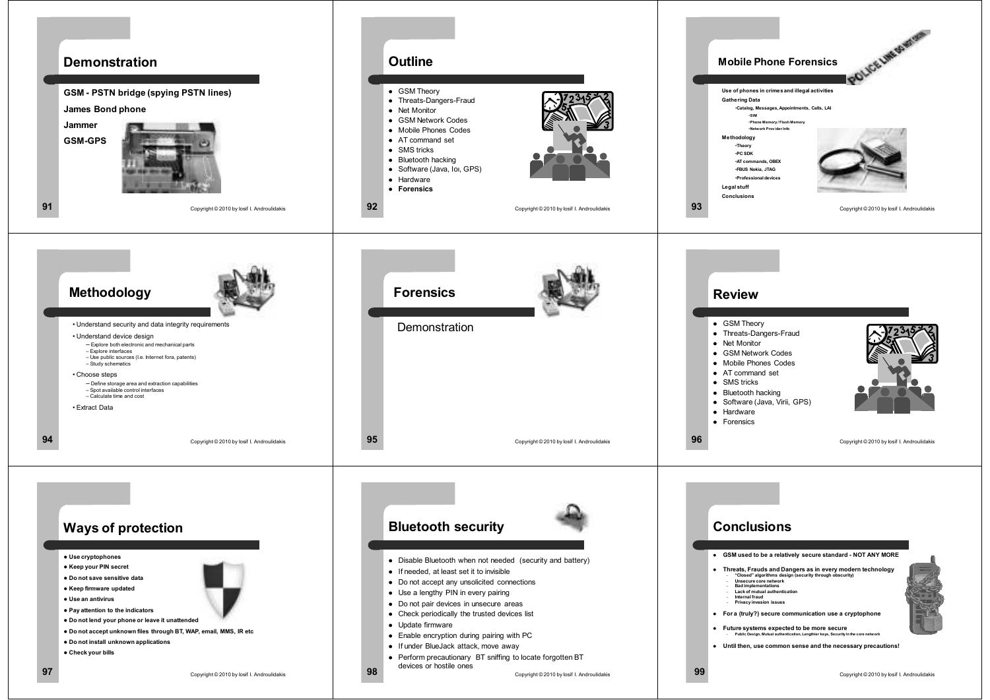